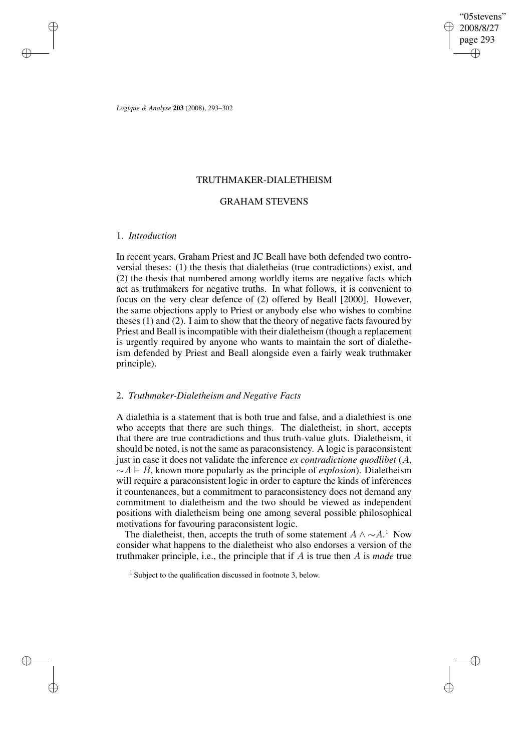✐

✐

*Logique & Analyse* **203** (2008), 293–302

# TRUTHMAKER-DIALETHEISM

# GRAHAM STEVENS

### 1. *Introduction*

✐

✐

✐

✐

In recent years, Graham Priest and JC Beall have both defended two controversial theses: (1) the thesis that dialetheias (true contradictions) exist, and (2) the thesis that numbered among worldly items are negative facts which act as truthmakers for negative truths. In what follows, it is convenient to focus on the very clear defence of (2) offered by Beall [2000]. However, the same objections apply to Priest or anybody else who wishes to combine theses (1) and (2). I aim to show that the theory of negative facts favoured by Priest and Beall is incompatible with their dialetheism (though a replacement is urgently required by anyone who wants to maintain the sort of dialetheism defended by Priest and Beall alongside even a fairly weak truthmaker principle).

# 2. *Truthmaker-Dialetheism and Negative Facts*

A dialethia is a statement that is both true and false, and a dialethiest is one who accepts that there are such things. The dialetheist, in short, accepts that there are true contradictions and thus truth-value gluts. Dialetheism, it should be noted, is not the same as paraconsistency. A logic is paraconsistent just in case it does not validate the inference *ex contradictione quodlibet* (A,  $~\sim A \models B$ , known more popularly as the principle of *explosion*). Dialetheism will require a paraconsistent logic in order to capture the kinds of inferences it countenances, but a commitment to paraconsistency does not demand any commitment to dialetheism and the two should be viewed as independent positions with dialetheism being one among several possible philosophical motivations for favouring paraconsistent logic.

The dialetheist, then, accepts the truth of some statement  $A \wedge \sim A$ .<sup>1</sup> Now consider what happens to the dialetheist who also endorses a version of the truthmaker principle, i.e., the principle that if A is true then A is *made* true

<sup>1</sup> Subject to the qualification discussed in footnote 3, below.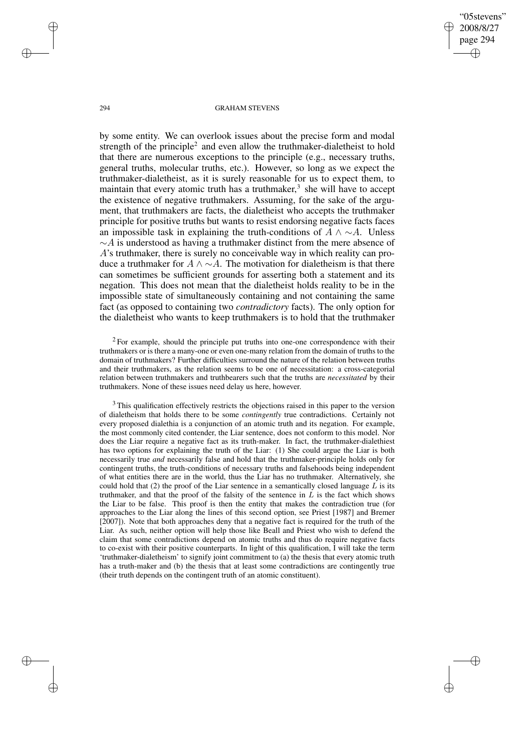"05stevens" 2008/8/27 page 294 ✐ ✐

✐

✐

### 294 GRAHAM STEVENS

by some entity. We can overlook issues about the precise form and modal strength of the principle<sup>2</sup> and even allow the truthmaker-dialetheist to hold that there are numerous exceptions to the principle (e.g., necessary truths, general truths, molecular truths, etc.). However, so long as we expect the truthmaker-dialetheist, as it is surely reasonable for us to expect them, to maintain that every atomic truth has a truthmaker,<sup>3</sup> she will have to accept the existence of negative truthmakers. Assuming, for the sake of the argument, that truthmakers are facts, the dialetheist who accepts the truthmaker principle for positive truths but wants to resist endorsing negative facts faces an impossible task in explaining the truth-conditions of  $A \wedge \neg A$ . Unless  $\sim$ A is understood as having a truthmaker distinct from the mere absence of A's truthmaker, there is surely no conceivable way in which reality can produce a truthmaker for  $A \wedge \neg A$ . The motivation for dialetheism is that there can sometimes be sufficient grounds for asserting both a statement and its negation. This does not mean that the dialetheist holds reality to be in the impossible state of simultaneously containing and not containing the same fact (as opposed to containing two *contradictory* facts). The only option for the dialetheist who wants to keep truthmakers is to hold that the truthmaker

 $2$  For example, should the principle put truths into one-one correspondence with their truthmakers or is there a many-one or even one-many relation from the domain of truths to the domain of truthmakers? Further difficulties surround the nature of the relation between truths and their truthmakers, as the relation seems to be one of necessitation: a cross-categorial relation between truthmakers and truthbearers such that the truths are *necessitated* by their truthmakers. None of these issues need delay us here, however.

<sup>3</sup> This qualification effectively restricts the objections raised in this paper to the version of dialetheism that holds there to be some *contingently* true contradictions. Certainly not every proposed dialethia is a conjunction of an atomic truth and its negation. For example, the most commonly cited contender, the Liar sentence, does not conform to this model. Nor does the Liar require a negative fact as its truth-maker. In fact, the truthmaker-dialethiest has two options for explaining the truth of the Liar: (1) She could argue the Liar is both necessarily true *and* necessarily false and hold that the truthmaker-principle holds only for contingent truths, the truth-conditions of necessary truths and falsehoods being independent of what entities there are in the world, thus the Liar has no truthmaker. Alternatively, she could hold that  $(2)$  the proof of the Liar sentence in a semantically closed language L is its truthmaker, and that the proof of the falsity of the sentence in  $L$  is the fact which shows the Liar to be false. This proof is then the entity that makes the contradiction true (for approaches to the Liar along the lines of this second option, see Priest [1987] and Bremer [2007]). Note that both approaches deny that a negative fact is required for the truth of the Liar. As such, neither option will help those like Beall and Priest who wish to defend the claim that some contradictions depend on atomic truths and thus do require negative facts to co-exist with their positive counterparts. In light of this qualification, I will take the term 'truthmaker-dialetheism' to signify joint commitment to (a) the thesis that every atomic truth has a truth-maker and (b) the thesis that at least some contradictions are contingently true (their truth depends on the contingent truth of an atomic constituent).

✐

✐

✐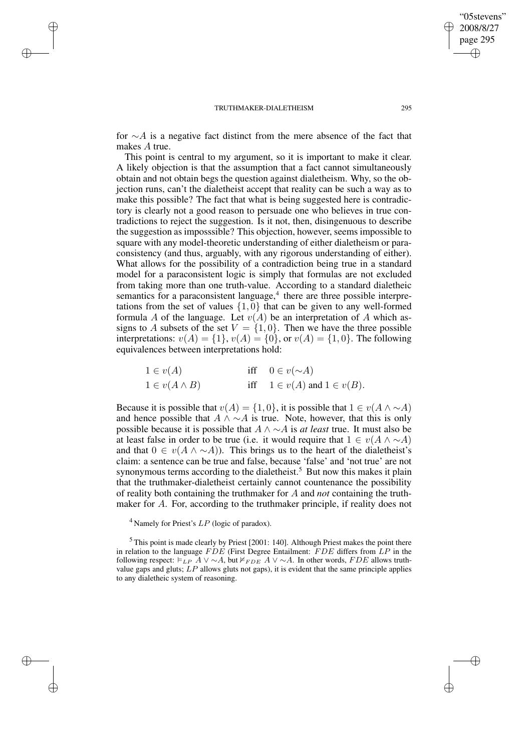✐

✐

✐

✐

for  $\sim$ A is a negative fact distinct from the mere absence of the fact that makes A true.

This point is central to my argument, so it is important to make it clear. A likely objection is that the assumption that a fact cannot simultaneously obtain and not obtain begs the question against dialetheism. Why, so the objection runs, can't the dialetheist accept that reality can be such a way as to make this possible? The fact that what is being suggested here is contradictory is clearly not a good reason to persuade one who believes in true contradictions to reject the suggestion. Is it not, then, disingenuous to describe the suggestion as imposssible? This objection, however, seems impossible to square with any model-theoretic understanding of either dialetheism or paraconsistency (and thus, arguably, with any rigorous understanding of either). What allows for the possibility of a contradiction being true in a standard model for a paraconsistent logic is simply that formulas are not excluded from taking more than one truth-value. According to a standard dialetheic semantics for a paraconsistent language,<sup>4</sup> there are three possible interpretations from the set of values  $\{1, 0\}$  that can be given to any well-formed formula A of the language. Let  $v(A)$  be an interpretation of A which assigns to A subsets of the set  $V = \{1, 0\}$ . Then we have the three possible interpretations:  $v(A) = \{1\}$ ,  $v(A) = \{0\}$ , or  $v(A) = \{1, 0\}$ . The following equivalences between interpretations hold:

| $1\in v(A)$           | iff $0 \in v(\sim A)$               |
|-----------------------|-------------------------------------|
| $1 \in v(A \wedge B)$ | iff $1 \in v(A)$ and $1 \in v(B)$ . |

Because it is possible that  $v(A) = \{1, 0\}$ , it is possible that  $1 \in v(A \land \sim A)$ and hence possible that  $A \wedge \neg A$  is true. Note, however, that this is only possible because it is possible that A ∧ ∼A is *at least* true. It must also be at least false in order to be true (i.e. it would require that  $1 \in v(A \wedge \sim A)$ ) and that  $0 \in v(A \wedge \neg A)$ . This brings us to the heart of the dialetheist's claim: a sentence can be true and false, because 'false' and 'not true' are not synonymous terms according to the dialetheist.<sup>5</sup> But now this makes it plain that the truthmaker-dialetheist certainly cannot countenance the possibility of reality both containing the truthmaker for A and *not* containing the truthmaker for A. For, according to the truthmaker principle, if reality does not

<sup>4</sup> Namely for Priest's  $LP$  (logic of paradox).

 $5$  This point is made clearly by Priest [2001: 140]. Although Priest makes the point there in relation to the language  $FDE$  (First Degree Entailment:  $FDE$  differs from  $LP$  in the following respect:  $\models_{LP} A \lor \sim A$ , but  $\nvdash_{FDE} A \lor \sim A$ . In other words, FDE allows truthvalue gaps and gluts;  $LP$  allows gluts not gaps), it is evident that the same principle applies to any dialetheic system of reasoning.

"05stevens" 2008/8/27 page 295

✐

✐

✐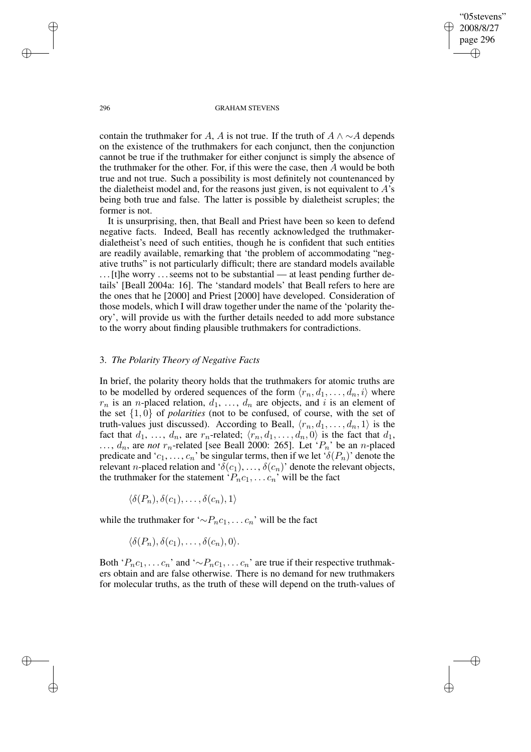"05stevens" 2008/8/27 page 296 ✐ ✐

✐

✐

### 296 GRAHAM STEVENS

contain the truthmaker for A, A is not true. If the truth of  $A \wedge \neg A$  depends on the existence of the truthmakers for each conjunct, then the conjunction cannot be true if the truthmaker for either conjunct is simply the absence of the truthmaker for the other. For, if this were the case, then A would be both true and not true. Such a possibility is most definitely not countenanced by the dialetheist model and, for the reasons just given, is not equivalent to  $A$ 's being both true and false. The latter is possible by dialetheist scruples; the former is not.

It is unsurprising, then, that Beall and Priest have been so keen to defend negative facts. Indeed, Beall has recently acknowledged the truthmakerdialetheist's need of such entities, though he is confident that such entities are readily available, remarking that 'the problem of accommodating "negative truths" is not particularly difficult; there are standard models available . . .[t]he worry . . .seems not to be substantial — at least pending further details' [Beall 2004a: 16]. The 'standard models' that Beall refers to here are the ones that he [2000] and Priest [2000] have developed. Consideration of those models, which I will draw together under the name of the 'polarity theory', will provide us with the further details needed to add more substance to the worry about finding plausible truthmakers for contradictions.

# 3. *The Polarity Theory of Negative Facts*

In brief, the polarity theory holds that the truthmakers for atomic truths are to be modelled by ordered sequences of the form  $\langle r_n, d_1, \ldots, d_n, i \rangle$  where  $r_n$  is an *n*-placed relation,  $d_1, \ldots, d_n$  are objects, and i is an element of the set  $\{1,0\}$  of *polarities* (not to be confused, of course, with the set of truth-values just discussed). According to Beall,  $\langle r_n, d_1, \ldots, d_n, 1 \rangle$  is the fact that  $d_1, \ldots, d_n$ , are  $r_n$ -related;  $\langle r_n, d_1, \ldots, d_n, 0 \rangle$  is the fact that  $d_1$ ,  $\ldots$ ,  $d_n$ , are *not*  $r_n$ -related [see Beall 2000: 265]. Let ' $P_n$ ' be an *n*-placed predicate and ' $c_1, \ldots, c_n$ ' be singular terms, then if we let ' $\delta(P_n)$ ' denote the relevant *n*-placed relation and ' $\delta(c_1), \ldots, \delta(c_n)$ ' denote the relevant objects, the truthmaker for the statement ' $P_n c_1, \ldots c_n$ ' will be the fact

 $\langle \delta(P_n), \delta(c_1), \ldots, \delta(c_n), 1 \rangle$ 

while the truthmaker for '∼ $P_n c_1, \ldots c_n$ ' will be the fact

 $\langle \delta(P_n), \delta(c_1), \ldots, \delta(c_n), 0 \rangle$ .

Both ' $P_n c_1, \ldots c_n$ ' and '∼ $P_n c_1, \ldots c_n$ ' are true if their respective truthmakers obtain and are false otherwise. There is no demand for new truthmakers for molecular truths, as the truth of these will depend on the truth-values of

✐

✐

✐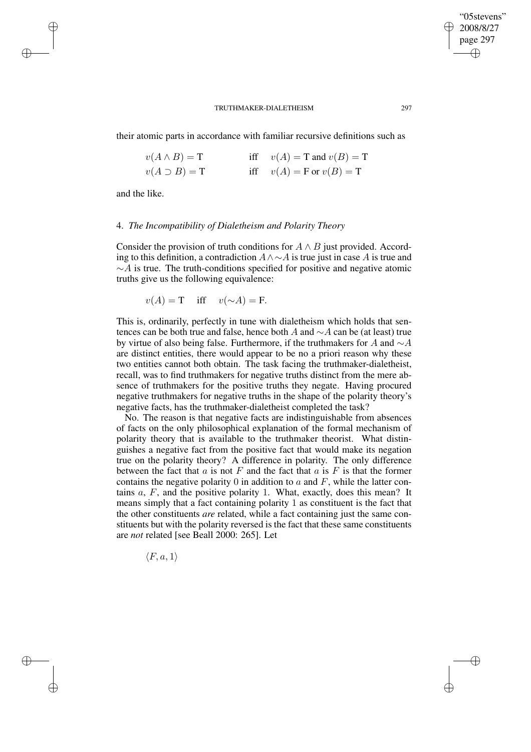their atomic parts in accordance with familiar recursive definitions such as

| $v(A \wedge B) = T$  | iff $v(A) = T$ and $v(B) = T$ |
|----------------------|-------------------------------|
| $v(A \supset B) = T$ | iff $v(A) = F$ or $v(B) = T$  |

and the like.

✐

✐

✐

✐

### 4. *The Incompatibility of Dialetheism and Polarity Theory*

Consider the provision of truth conditions for  $A \wedge B$  just provided. According to this definition, a contradiction  $A \wedge \sim A$  is true just in case A is true and  $~\sim A$  is true. The truth-conditions specified for positive and negative atomic truths give us the following equivalence:

$$
v(A) = T \quad \text{iff} \quad v(\sim A) = F.
$$

This is, ordinarily, perfectly in tune with dialetheism which holds that sentences can be both true and false, hence both A and ∼A can be (at least) true by virtue of also being false. Furthermore, if the truthmakers for A and ∼A are distinct entities, there would appear to be no a priori reason why these two entities cannot both obtain. The task facing the truthmaker-dialetheist, recall, was to find truthmakers for negative truths distinct from the mere absence of truthmakers for the positive truths they negate. Having procured negative truthmakers for negative truths in the shape of the polarity theory's negative facts, has the truthmaker-dialetheist completed the task?

No. The reason is that negative facts are indistinguishable from absences of facts on the only philosophical explanation of the formal mechanism of polarity theory that is available to the truthmaker theorist. What distinguishes a negative fact from the positive fact that would make its negation true on the polarity theory? A difference in polarity. The only difference between the fact that a is not F and the fact that a is F is that the former contains the negative polarity 0 in addition to  $a$  and  $F$ , while the latter contains  $a$ ,  $F$ , and the positive polarity 1. What, exactly, does this mean? It means simply that a fact containing polarity 1 as constituent is the fact that the other constituents *are* related, while a fact containing just the same constituents but with the polarity reversed is the fact that these same constituents are *not* related [see Beall 2000: 265]. Let

 $\langle F, a, 1 \rangle$ 

"05stevens" 2008/8/27 page 297

✐

✐

✐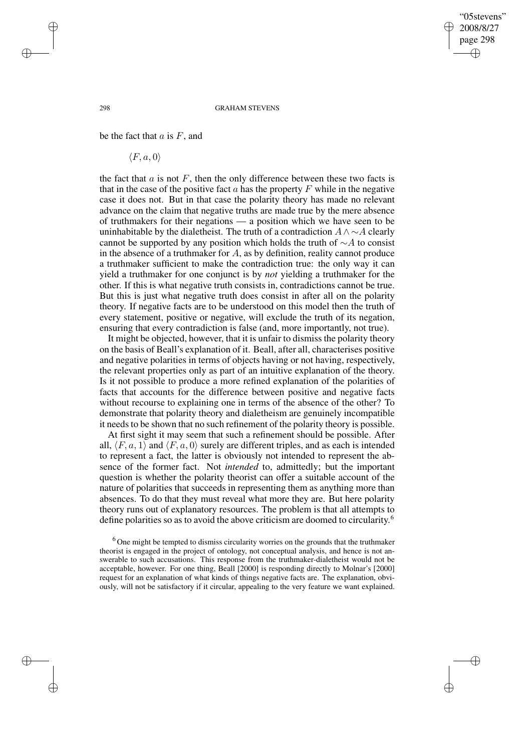"05stevens" 2008/8/27 page 298 ✐ ✐

✐

✐

### 298 GRAHAM STEVENS

be the fact that  $a$  is  $F$ , and

 $\langle F, a, 0 \rangle$ 

the fact that  $a$  is not  $F$ , then the only difference between these two facts is that in the case of the positive fact  $a$  has the property  $F$  while in the negative case it does not. But in that case the polarity theory has made no relevant advance on the claim that negative truths are made true by the mere absence of truthmakers for their negations — a position which we have seen to be uninhabitable by the dialetheist. The truth of a contradiction  $A \wedge \neg A$  clearly cannot be supported by any position which holds the truth of  $\sim$ A to consist in the absence of a truthmaker for  $A$ , as by definition, reality cannot produce a truthmaker sufficient to make the contradiction true: the only way it can yield a truthmaker for one conjunct is by *not* yielding a truthmaker for the other. If this is what negative truth consists in, contradictions cannot be true. But this is just what negative truth does consist in after all on the polarity theory. If negative facts are to be understood on this model then the truth of every statement, positive or negative, will exclude the truth of its negation, ensuring that every contradiction is false (and, more importantly, not true).

It might be objected, however, that it is unfair to dismiss the polarity theory on the basis of Beall's explanation of it. Beall, after all, characterises positive and negative polarities in terms of objects having or not having, respectively, the relevant properties only as part of an intuitive explanation of the theory. Is it not possible to produce a more refined explanation of the polarities of facts that accounts for the difference between positive and negative facts without recourse to explaining one in terms of the absence of the other? To demonstrate that polarity theory and dialetheism are genuinely incompatible it needs to be shown that no such refinement of the polarity theory is possible.

At first sight it may seem that such a refinement should be possible. After all,  $\langle F, a, 1 \rangle$  and  $\langle F, a, 0 \rangle$  surely are different triples, and as each is intended to represent a fact, the latter is obviously not intended to represent the absence of the former fact. Not *intended* to, admittedly; but the important question is whether the polarity theorist can offer a suitable account of the nature of polarities that succeeds in representing them as anything more than absences. To do that they must reveal what more they are. But here polarity theory runs out of explanatory resources. The problem is that all attempts to define polarities so as to avoid the above criticism are doomed to circularity. 6

 $6$  One might be tempted to dismiss circularity worries on the grounds that the truthmaker theorist is engaged in the project of ontology, not conceptual analysis, and hence is not answerable to such accusations. This response from the truthmaker-dialetheist would not be acceptable, however. For one thing, Beall [2000] is responding directly to Molnar's [2000] request for an explanation of what kinds of things negative facts are. The explanation, obviously, will not be satisfactory if it circular, appealing to the very feature we want explained.

✐

✐

✐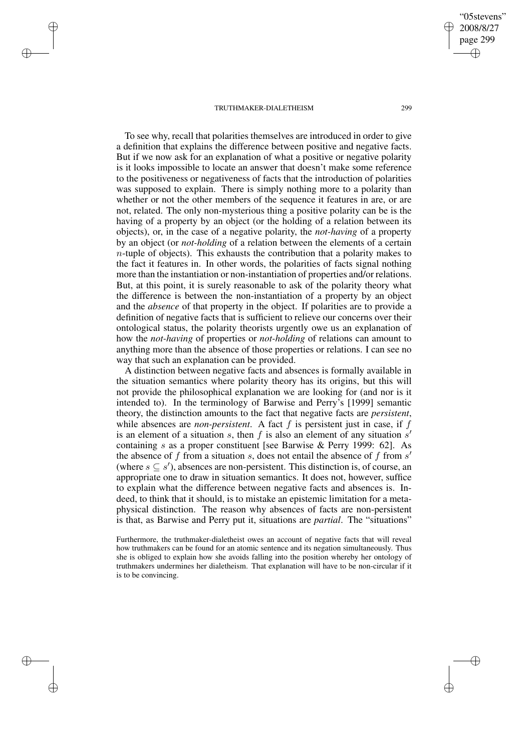✐

✐

✐

✐

To see why, recall that polarities themselves are introduced in order to give a definition that explains the difference between positive and negative facts. But if we now ask for an explanation of what a positive or negative polarity is it looks impossible to locate an answer that doesn't make some reference to the positiveness or negativeness of facts that the introduction of polarities was supposed to explain. There is simply nothing more to a polarity than whether or not the other members of the sequence it features in are, or are not, related. The only non-mysterious thing a positive polarity can be is the having of a property by an object (or the holding of a relation between its objects), or, in the case of a negative polarity, the *not-having* of a property by an object (or *not-holding* of a relation between the elements of a certain  $n$ -tuple of objects). This exhausts the contribution that a polarity makes to the fact it features in. In other words, the polarities of facts signal nothing more than the instantiation or non-instantiation of properties and/or relations. But, at this point, it is surely reasonable to ask of the polarity theory what the difference is between the non-instantiation of a property by an object and the *absence* of that property in the object. If polarities are to provide a definition of negative facts that is sufficient to relieve our concerns over their ontological status, the polarity theorists urgently owe us an explanation of how the *not-having* of properties or *not-holding* of relations can amount to anything more than the absence of those properties or relations. I can see no way that such an explanation can be provided.

A distinction between negative facts and absences is formally available in the situation semantics where polarity theory has its origins, but this will not provide the philosophical explanation we are looking for (and nor is it intended to). In the terminology of Barwise and Perry's [1999] semantic theory, the distinction amounts to the fact that negative facts are *persistent*, while absences are *non-persistent*. A fact  $f$  is persistent just in case, if  $f$ is an element of a situation s, then f is also an element of any situation s' containing s as a proper constituent [see Barwise & Perry 1999: 62]. As the absence of f from a situation s, does not entail the absence of f from s' (where  $s \subseteq s'$ ), absences are non-persistent. This distinction is, of course, an appropriate one to draw in situation semantics. It does not, however, suffice to explain what the difference between negative facts and absences is. Indeed, to think that it should, is to mistake an epistemic limitation for a metaphysical distinction. The reason why absences of facts are non-persistent is that, as Barwise and Perry put it, situations are *partial*. The "situations"

Furthermore, the truthmaker-dialetheist owes an account of negative facts that will reveal how truthmakers can be found for an atomic sentence and its negation simultaneously. Thus she is obliged to explain how she avoids falling into the position whereby her ontology of truthmakers undermines her dialetheism. That explanation will have to be non-circular if it is to be convincing.

"05stevens" 2008/8/27 page 299

✐

✐

✐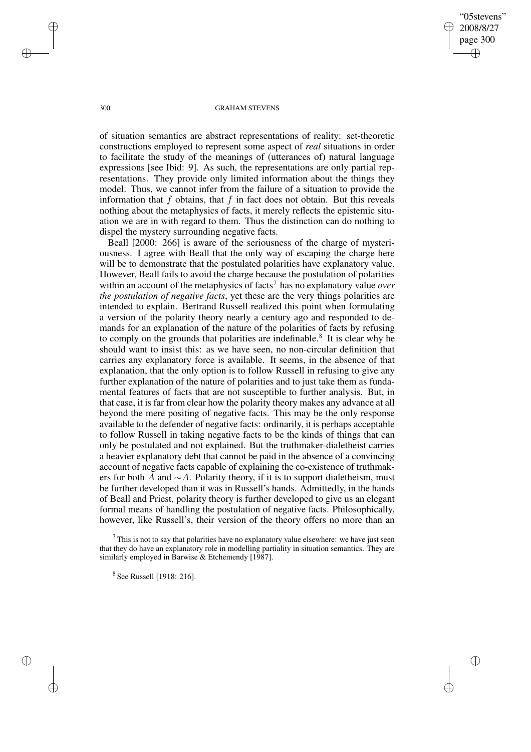"05stevens" 2008/8/27 page 300 ✐ ✐

✐

✐

### 300 GRAHAM STEVENS

of situation semantics are abstract representations of reality: set-theoretic constructions employed to represent some aspect of *real* situations in order to facilitate the study of the meanings of (utterances of) natural language expressions [see Ibid: 9]. As such, the representations are only partial representations. They provide only limited information about the things they model. Thus, we cannot infer from the failure of a situation to provide the information that  $f$  obtains, that  $f$  in fact does not obtain. But this reveals nothing about the metaphysics of facts, it merely reflects the epistemic situation we are in with regard to them. Thus the distinction can do nothing to dispel the mystery surrounding negative facts.

Beall [2000: 266] is aware of the seriousness of the charge of mysteriousness. I agree with Beall that the only way of escaping the charge here will be to demonstrate that the postulated polarities have explanatory value. However, Beall fails to avoid the charge because the postulation of polarities within an account of the metaphysics of facts<sup>7</sup> has no explanatory value *over the postulation of negative facts*, yet these are the very things polarities are intended to explain. Bertrand Russell realized this point when formulating a version of the polarity theory nearly a century ago and responded to demands for an explanation of the nature of the polarities of facts by refusing to comply on the grounds that polarities are indefinable.<sup>8</sup> It is clear why he should want to insist this: as we have seen, no non-circular definition that carries any explanatory force is available. It seems, in the absence of that explanation, that the only option is to follow Russell in refusing to give any further explanation of the nature of polarities and to just take them as fundamental features of facts that are not susceptible to further analysis. But, in that case, it is far from clear how the polarity theory makes any advance at all beyond the mere positing of negative facts. This may be the only response available to the defender of negative facts: ordinarily, it is perhaps acceptable to follow Russell in taking negative facts to be the kinds of things that can only be postulated and not explained. But the truthmaker-dialetheist carries a heavier explanatory debt that cannot be paid in the absence of a convincing account of negative facts capable of explaining the co-existence of truthmakers for both A and  $\sim A$ . Polarity theory, if it is to support dialetheism, must be further developed than it was in Russell's hands. Admittedly, in the hands of Beall and Priest, polarity theory is further developed to give us an elegant formal means of handling the postulation of negative facts. Philosophically, however, like Russell's, their version of the theory offers no more than an

✐

✐

✐

 $7$  This is not to say that polarities have no explanatory value elsewhere: we have just seen that they do have an explanatory role in modelling partiality in situation semantics. They are similarly employed in Barwise & Etchemendy [1987].

<sup>&</sup>lt;sup>8</sup> See Russell [1918: 216].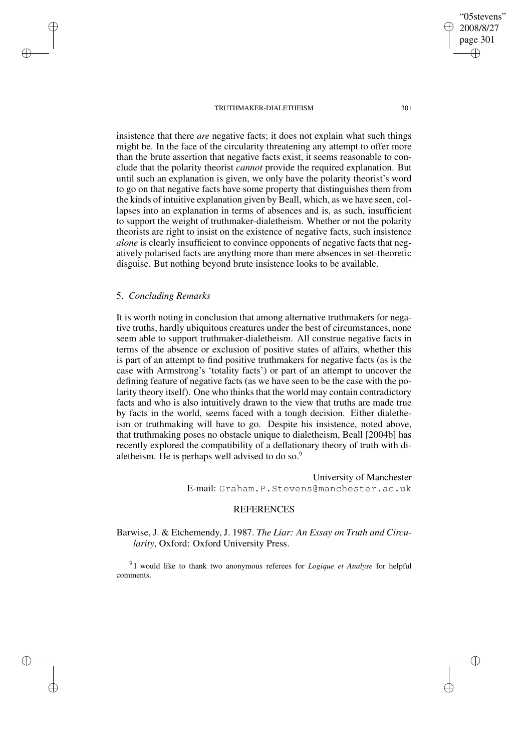page 301 ✐

✐

"05stevens" 2008/8/27

✐

✐

insistence that there *are* negative facts; it does not explain what such things might be. In the face of the circularity threatening any attempt to offer more than the brute assertion that negative facts exist, it seems reasonable to conclude that the polarity theorist *cannot* provide the required explanation. But until such an explanation is given, we only have the polarity theorist's word to go on that negative facts have some property that distinguishes them from the kinds of intuitive explanation given by Beall, which, as we have seen, collapses into an explanation in terms of absences and is, as such, insufficient to support the weight of truthmaker-dialetheism. Whether or not the polarity theorists are right to insist on the existence of negative facts, such insistence *alone* is clearly insufficient to convince opponents of negative facts that negatively polarised facts are anything more than mere absences in set-theoretic disguise. But nothing beyond brute insistence looks to be available.

# 5. *Concluding Remarks*

✐

✐

✐

✐

It is worth noting in conclusion that among alternative truthmakers for negative truths, hardly ubiquitous creatures under the best of circumstances, none seem able to support truthmaker-dialetheism. All construe negative facts in terms of the absence or exclusion of positive states of affairs, whether this is part of an attempt to find positive truthmakers for negative facts (as is the case with Armstrong's 'totality facts') or part of an attempt to uncover the defining feature of negative facts (as we have seen to be the case with the polarity theory itself). One who thinks that the world may contain contradictory facts and who is also intuitively drawn to the view that truths are made true by facts in the world, seems faced with a tough decision. Either dialetheism or truthmaking will have to go. Despite his insistence, noted above, that truthmaking poses no obstacle unique to dialetheism, Beall [2004b] has recently explored the compatibility of a deflationary theory of truth with dialetheism. He is perhaps well advised to do so.<sup>9</sup>

> University of Manchester E-mail: Graham.P.Stevens@manchester.ac.uk

# REFERENCES

Barwise, J. & Etchemendy, J. 1987. *The Liar: An Essay on Truth and Circularity*, Oxford: Oxford University Press.

9 I would like to thank two anonymous referees for *Logique et Analyse* for helpful comments.